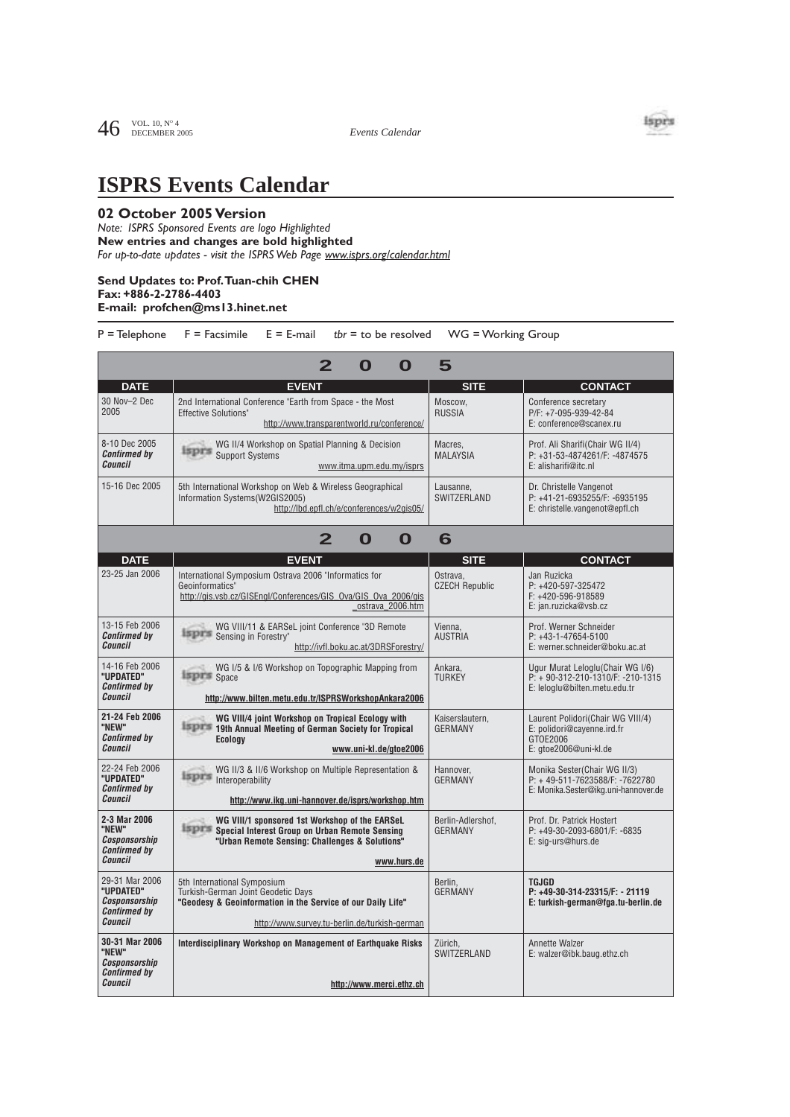

## **ISPRS Events Calendar**

## **02 October 2005 Version**

*Note: ISPRS Sponsored Events are logo Highlighted* **New entries and changes are bold highlighted**  *For up-to-date updates - visit the ISPRS Web Page www.isprs.org/calendar.html*

## **Send Updates to: Prof.Tuan-chih CHEN Fax: +886-2-2786-4403 E-mail: profchen@ms13.hinet.net**

P = Telephone F = Facsimile E = E-mail *tbr* = to be resolved WG = Working Group

| 5<br>O<br>O                                                                    |                                                                                                                                                                                   |                                     |                                                                                                          |  |  |  |
|--------------------------------------------------------------------------------|-----------------------------------------------------------------------------------------------------------------------------------------------------------------------------------|-------------------------------------|----------------------------------------------------------------------------------------------------------|--|--|--|
| <b>DATE</b>                                                                    | <b>EVENT</b>                                                                                                                                                                      | <b>SITE</b>                         | <b>CONTACT</b>                                                                                           |  |  |  |
| 30 Nov-2 Dec<br>2005                                                           | 2nd International Conference "Earth from Space - the Most<br><b>Effective Solutions"</b><br>http://www.transparentworld.ru/conference/                                            | Moscow.<br><b>RUSSIA</b>            | Conference secretary<br>P/F: +7-095-939-42-84<br>E: conference@scanex.ru                                 |  |  |  |
| 8-10 Dec 2005<br><b>Confirmed by</b><br>Council                                | WG II/4 Workshop on Spatial Planning & Decision<br>isprs<br><b>Support Systems</b><br>www.itma.upm.edu.my/isprs                                                                   | Macres,<br><b>MALAYSIA</b>          | Prof. Ali Sharifi(Chair WG II/4)<br>P: +31-53-4874261/F: -4874575<br>E: alisharifi@itc.nl                |  |  |  |
| 15-16 Dec 2005                                                                 | 5th International Workshop on Web & Wireless Geographical<br>Information Systems(W2GIS2005)<br>http://lbd.epfl.ch/e/conferences/w2qis05/                                          | Lausanne,<br>SWITZERLAND            | Dr. Christelle Vangenot<br>P: +41-21-6935255/F: -6935195<br>E: christelle.vangenot@epfl.ch               |  |  |  |
| 2<br>O<br>O<br>6                                                               |                                                                                                                                                                                   |                                     |                                                                                                          |  |  |  |
| <b>DATE</b>                                                                    | <b>EVENT</b>                                                                                                                                                                      | <b>SITE</b>                         | <b>CONTACT</b>                                                                                           |  |  |  |
| 23-25 Jan 2006                                                                 | International Symposium Ostrava 2006 "Informatics for<br>Geoinformatics"<br>http://gis.vsb.cz/GISEngl/Conferences/GIS_Ova/GIS_Ova_2006/gis<br>ostrava 2006.htm                    | Ostrava.<br><b>CZECH Republic</b>   | Jan Ruzicka<br>P: +420-597-325472<br>$F: +420 - 596 - 918589$<br>E: jan.ruzicka@vsb.cz                   |  |  |  |
| 13-15 Feb 2006<br><b>Confirmed by</b><br>Council                               | WG VIII/11 & EARSeL joint Conference "3D Remote<br>isprs<br>Sensing in Forestry"<br>http://ivfl.boku.ac.at/3DRSForestry/                                                          | Vienna,<br><b>AUSTRIA</b>           | Prof. Werner Schneider<br>$P: +43-1-47654-5100$<br>E: werner.schneider@boku.ac.at                        |  |  |  |
| 14-16 Feb 2006<br>"UPDATED"<br><b>Confirmed by</b><br>Council                  | WG I/5 & I/6 Workshop on Topographic Mapping from<br><b>Expirm</b> Space<br>http://www.bilten.metu.edu.tr/ISPRSWorkshopAnkara2006                                                 | Ankara,<br><b>TURKEY</b>            | Ugur Murat Leloglu (Chair WG I/6)<br>$P: +90-312-210-1310/F: -210-1315$<br>E: leloglu@bilten.metu.edu.tr |  |  |  |
| 21-24 Feb 2006<br>"NEW"<br><b>Confirmed by</b><br>Council                      | WG VIII/4 joint Workshop on Tropical Ecology with<br><b>Esperis 19th Annual Meeting of German Society for Tropical</b><br>Ecology<br>www.uni-kl.de/gtoe2006                       | Kaiserslautern,<br><b>GERMANY</b>   | Laurent Polidori (Chair WG VIII/4)<br>E: polidori@cayenne.ird.fr<br>GT0E2006<br>E: gtoe2006@uni-kl.de    |  |  |  |
| 22-24 Feb 2006<br>"UPDATED"<br><b>Confirmed by</b><br>Council                  | WG II/3 & II/6 Workshop on Multiple Representation &<br>isprs<br>Interoperability<br>http://www.ikg.uni-hannover.de/isprs/workshop.htm                                            | Hannover.<br><b>GERMANY</b>         | Monika Sester(Chair WG II/3)<br>P: +49-511-7623588/F: -7622780<br>E: Monika.Sester@ikg.uni-hannover.de   |  |  |  |
| 2-3 Mar 2006<br>"NFW"<br>Cosponsorship<br><b>Confirmed by</b><br>Council       | WG VIII/1 sponsored 1st Workshop of the EARSeL<br>isprs<br>Special Interest Group on Urban Remote Sensing<br>"Urban Remote Sensing: Challenges & Solutions"<br>www.hurs.de        | Berlin-Adlershof.<br><b>GERMANY</b> | Prof. Dr. Patrick Hostert<br>P: +49-30-2093-6801/F: -6835<br>E: sig-urs@hurs.de                          |  |  |  |
| 29-31 Mar 2006<br>"UPDATED"<br>Cosponsorship<br><b>Confirmed by</b><br>Council | 5th International Symposium<br>Turkish-German Joint Geodetic Days<br>"Geodesy & Geoinformation in the Service of our Daily Life"<br>http://www.survey.tu-berlin.de/turkish-german | Berlin,<br><b>GERMANY</b>           | <b>TGJGD</b><br>P: +49-30-314-23315/F: - 21119<br>E: turkish-german@fga.tu-berlin.de                     |  |  |  |
| 30-31 Mar 2006<br>"NEW"<br>Cosponsorship<br><b>Confirmed by</b><br>Council     | Interdisciplinary Workshop on Management of Earthquake Risks<br>http://www.merci.ethz.ch                                                                                          | Zürich.<br>SWITZERLAND              | Annette Walzer<br>E: walzer@ibk.baug.ethz.ch                                                             |  |  |  |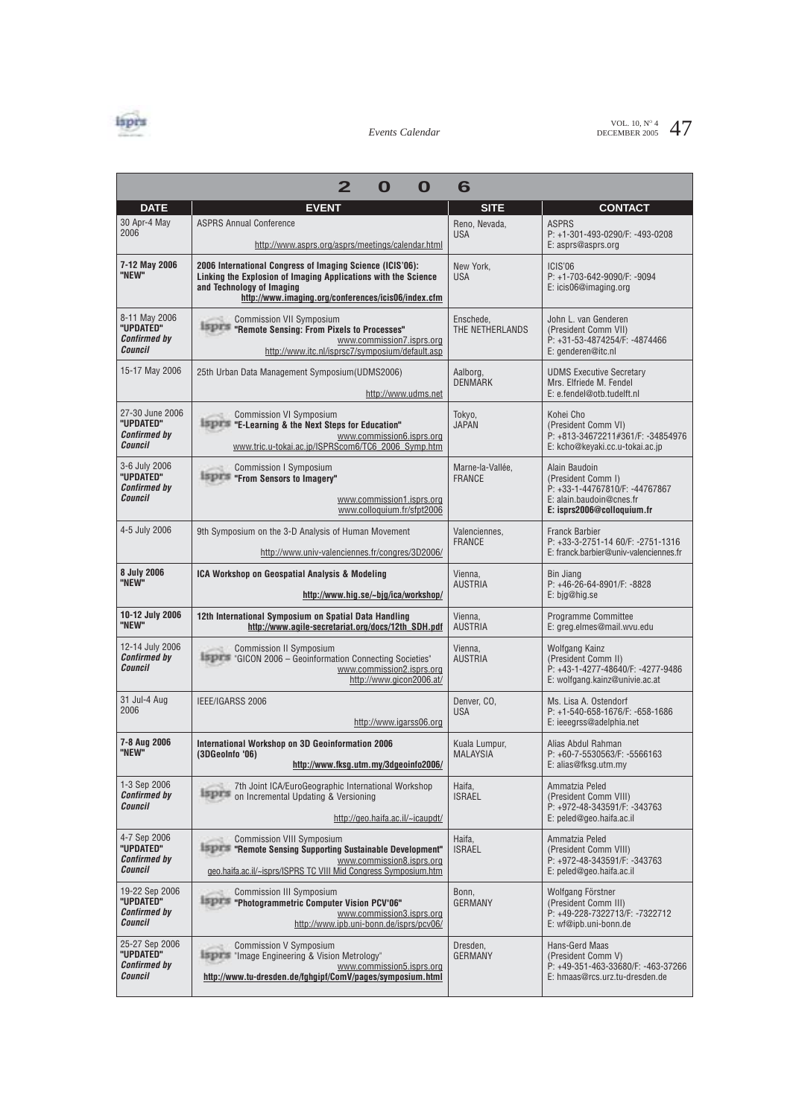

VOL. 10,  $N^{\circ}$  4  $47$ 

|                                                                | 2<br>O<br>O                                                                                                                                                                                                     | 6                                 |                                                                                                                                 |
|----------------------------------------------------------------|-----------------------------------------------------------------------------------------------------------------------------------------------------------------------------------------------------------------|-----------------------------------|---------------------------------------------------------------------------------------------------------------------------------|
| <b>DATE</b>                                                    | <b>EVENT</b>                                                                                                                                                                                                    | <b>SITE</b>                       | <b>CONTACT</b>                                                                                                                  |
| 30 Apr-4 May<br>2006                                           | <b>ASPRS Annual Conference</b><br>http://www.asprs.org/asprs/meetings/calendar.html                                                                                                                             | Reno, Nevada,<br><b>USA</b>       | <b>ASPRS</b><br>P: +1-301-493-0290/F: -493-0208<br>E: asprs@asprs.org                                                           |
| 7-12 May 2006<br>"NEW"                                         | 2006 International Congress of Imaging Science (ICIS'06):<br>Linking the Explosion of Imaging Applications with the Science<br>and Technology of Imaging<br>http://www.imaging.org/conferences/icis06/index.cfm | New York.<br><b>USA</b>           | ICIS'06<br>P: +1-703-642-9090/F: -9094<br>E: icis06@imaging.org                                                                 |
| 8-11 May 2006<br>"UPDATED"<br><b>Confirmed by</b><br>Council   | <b>Commission VII Symposium</b><br><b>ESPITS "Remote Sensing: From Pixels to Processes"</b><br>www.commission7.isprs.org<br>http://www.itc.nl/isprsc7/symposium/default.asp                                     | Enschede,<br>THE NETHERLANDS      | John L. van Genderen<br>(President Comm VII)<br>P: +31-53-4874254/F: -4874466<br>E: genderen@itc.nl                             |
| 15-17 May 2006                                                 | 25th Urban Data Management Symposium(UDMS2006)<br>http://www.udms.net                                                                                                                                           | Aalborg,<br><b>DENMARK</b>        | <b>UDMS Executive Secretary</b><br>Mrs. Elfriede M. Fendel<br>E: e.fendel@otb.tudelft.nl                                        |
| 27-30 June 2006<br>"UPDATED"<br><b>Confirmed by</b><br>Council | <b>Commission VI Symposium</b><br><b>LEPTS</b> "E-Learning & the Next Steps for Education"<br>www.commission6.isprs.org<br>www.tric.u-tokai.ac.jp/ISPRScom6/TC6_2006_Symp.htm                                   | Tokyo,<br><b>JAPAN</b>            | Kohei Cho<br>(President Comm VI)<br>P: +813-34672211#361/F: -34854976<br>E: kcho@keyaki.cc.u-tokai.ac.jp                        |
| 3-6 July 2006<br>"UPDATED"<br><b>Confirmed by</b><br>Council   | <b>Commission I Symposium</b><br><b>ISPT "From Sensors to Imagery"</b><br>www.commission1.isprs.org<br>www.colloguium.fr/sfpt2006                                                                               | Marne-la-Vallée.<br><b>FRANCE</b> | Alain Baudoin<br>(President Comm I)<br>P: +33-1-44767810/F: -44767867<br>E: alain.baudoin@cnes.fr<br>E: isprs2006@colloquium.fr |
| 4-5 July 2006                                                  | 9th Symposium on the 3-D Analysis of Human Movement<br>http://www.univ-valenciennes.fr/congres/3D2006/                                                                                                          | Valenciennes,<br><b>FRANCE</b>    | <b>Franck Barbier</b><br>P: +33-3-2751-14 60/F: -2751-1316<br>E: franck.barbier@univ-valenciennes.fr                            |
| 8 July 2006<br>"NEW"                                           | ICA Workshop on Geospatial Analysis & Modeling<br>http://www.hig.se/~bjg/ica/workshop/                                                                                                                          | Vienna,<br><b>AUSTRIA</b>         | <b>Bin Jiang</b><br>P: +46-26-64-8901/F: -8828<br>E: bjg@hig.se                                                                 |
| 10-12 July 2006<br>"NEW"                                       | 12th International Symposium on Spatial Data Handling<br>http://www.agile-secretariat.org/docs/12th SDH.pdf                                                                                                     | Vienna,<br><b>AUSTRIA</b>         | Programme Committee<br>E: greg.elmes@mail.wvu.edu                                                                               |
| 12-14 July 2006<br><b>Confirmed by</b><br><b>Council</b>       | <b>Commission II Symposium</b><br><b>ESPITS 'GICON 2006 - Geoinformation Connecting Societies'</b><br>www.commission2.isprs.org<br>http://www.gicon2006.at/                                                     | Vienna,<br><b>AUSTRIA</b>         | Wolfgang Kainz<br>(President Comm II)<br>P: +43-1-4277-48640/F: -4277-9486<br>E: wolfgang.kainz@univie.ac.at                    |
| 31 Jul-4 Aug<br>2006                                           | IEEE/IGARSS 2006<br>http://www.igarss06.org                                                                                                                                                                     | Denver, CO.<br><b>USA</b>         | Ms. Lisa A. Ostendorf<br>P: +1-540-658-1676/F: -658-1686<br>E: ieeegrss@adelphia.net                                            |
| 7-8 Aug 2006<br>"NEW"                                          | International Workshop on 3D Geoinformation 2006<br>(3DGeoInfo '06)<br>http://www.fksg.utm.my/3dgeoinfo2006/                                                                                                    | Kuala Lumpur,<br><b>MALAYSIA</b>  | Alias Abdul Rahman<br>P: +60-7-5530563/F: -5566163<br>E: alias@fksg.utm.my                                                      |
| 1-3 Sep 2006<br><b>Confirmed by</b><br><b>Council</b>          | 7th Joint ICA/EuroGeographic International Workshop<br>израз<br>on Incremental Updating & Versioning<br>http://geo.haifa.ac.il/~icaupdt/                                                                        | Haifa,<br><b>ISRAEL</b>           | Ammatzia Peled<br>(President Comm VIII)<br>P: +972-48-343591/F: -343763<br>E: peled@geo.haifa.ac.il                             |
| 4-7 Sep 2006<br>"UPDATED"<br><b>Confirmed by</b><br>Council    | <b>Commission VIII Symposium</b><br><b>ESPITE Remote Sensing Supporting Sustainable Development"</b><br>www.commission8.isprs.org<br>geo.haifa.ac.il/~isprs/ISPRS TC VIII Mid Congress Symposium.htm            | Haifa,<br><b>ISRAEL</b>           | Ammatzia Peled<br>(President Comm VIII)<br>P: +972-48-343591/F: -343763<br>E: peled@geo.haifa.ac.il                             |
| 19-22 Sep 2006<br>"UPDATED"<br><b>Confirmed by</b><br>Council  | <b>Commission III Symposium</b><br><b>LEIPES</b> "Photogrammetric Computer Vision PCV'06"<br>www.commission3.isprs.org<br>http://www.ipb.uni-bonn.de/isprs/pcv06/                                               | Bonn,<br><b>GERMANY</b>           | Wolfgang Förstner<br>(President Comm III)<br>P: +49-228-7322713/F: -7322712<br>E: wf@ipb.uni-bonn.de                            |
| 25-27 Sep 2006<br>"UPDATED"<br><b>Confirmed by</b><br>Council  | <b>Commission V Symposium</b><br><b>Espirs</b> "Image Engineering & Vision Metrology"<br>www.commission5.isprs.org<br>http://www.tu-dresden.de/fghgipf/ComV/pages/symposium.html                                | Dresden,<br><b>GERMANY</b>        | Hans-Gerd Maas<br>(President Comm V)<br>P: +49-351-463-33680/F: -463-37266<br>E: hmaas@rcs.urz.tu-dresden.de                    |